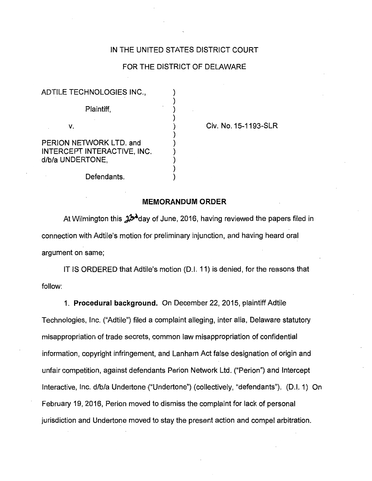## IN THE UNITED STATES DISTRICT COURT

## FOR THE DISTRICT OF DELAWARE

) ) ) ) ) ) ) ) ) )

ADTILE TECHNOLOGIES INC., Plaintiff, v. PERION NETWORK LTD. and INTERCEPT INTERACTIVE, INC. d/b/a UNDERTONE,

Civ. No. 15-1193-SLR

Defendants.

## **MEMORANDUM ORDER**

At Wilmington this  $\mathbf{\hat{A}}^{\mathbf{\hat{A}}}$ day of June, 2016, having reviewed the papers filed in connection with Adtile's motion for preliminary injunction, and having heard oral argument on same;

IT IS ORDERED that Adtile's motion (D.I. 11) is denied, for the reasons that follow:

1. **Procedural background.** On December 22, 2015, plaintiff Adtile Technologies, Inc. ("Adtile") filed a complaint alleging, inter alia, Delaware statutory misappropriation of trade secrets, common law misappropriation of confidential information, copyright infringement, and Lanham Act false designation of origin and unfair competition, against defendants Perion Network Ltd. ("Perion") and Intercept Interactive, Inc. d/b/a Undertone ("Undertone") (collectively, "defendants"). (D.I. 1) On February 19, 2016, Perion moved to dismiss the complaint for lack of personal jurisdiction and Undertone moved to stay the present action and compel arbitration.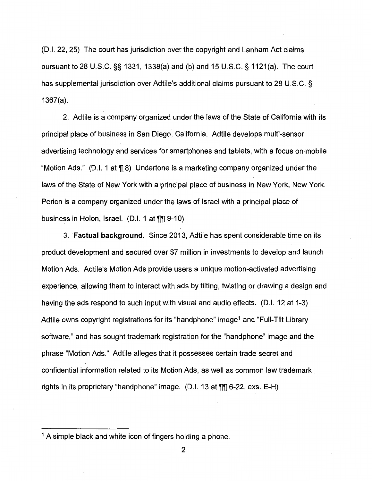(D.I. 22, 25) The court has jurisdiction over the copyright and Lanham Act claims pursuant to 28 U.S.C. §§ 1331, 1338(a) and (b) and 15U.S.C.§1121(a). The court has supplemental jurisdiction over Adtile's additional claims pursuant to 28 U.S.C. § 1367(a).

2. Adtile is a company organized under the laws of the State of California with its principal place of business in San Diego, California. Adtile develops multi-sensor advertising technology and services for smartphones and tablets, with a focus on· mobile "Motion Ads." (D.I. 1 at  $\P$  8) Undertone is a marketing company organized under the laws of the State of New York with a principal place of business in New York, New York. Perion is a company organized under the laws of Israel with a principal place of business in Holon, Israel. (D.I. 1 at  $\P$ [ 9-10)

3. **·Factual background.** Since 2013, Adtile has spent considerable time on its product development and secured over \$7 million in investments to develop and launch Motion Ads. Adtile's Motion Ads provide users a unique motion-activated advertising experience, allowing them to interact with ads by tilting, twisting or drawing a design and having the ads respond to such input with visual and audio effects. (D.I. 12 at 1-3) Adtile owns copyright registrations for its "hand phone" image<sup>1</sup> and "Full-Tilt Library software," and has sought trademark registration for the "handphone" image and the phrase "Motion Ads." Adtile alleges that it possesses certain trade secret and confidential information related to its Motion Ads, as well as common law trademark rights in its proprietary "handphone" image. (D.I. 13 at  $\P$  $\P$  6-22, exs. E-H)

<sup>&</sup>lt;sup>1</sup> A simple black and white icon of fingers holding a phone.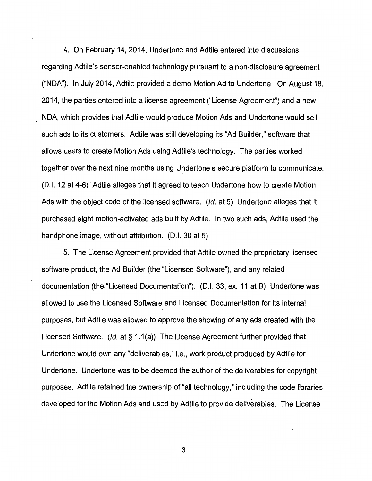4. On February 14, 2014, Undertone and Adtile entered into discussions regarding Adtile's sensor-enabled technology pursuant to a non-disclosure agreement ("NOA"). In July 2014, Adtile provided a demo Motion Ad to Undertone. On August 18, 2014, the parties entered into a license agreement ("License Agreement") and a new NOA, which provides that Adtile would produce Motion Ads and Undertone would sell such ads to its customers. Adtile was still developing its "Ad Builder," software that allows users to create Motion Ads using Adtile's technology. The parties worked together over the next nine months using Undertone's secure platform to communicate. (D.I. 12 at 4-6) Adtile alleges that it agreed to teach Undertone how to create Motion Ads with the object code of the licensed software. (Id. at 5) Undertone alleges that it purchased eight motion-activated ads built by Adtile. In two such ads, Adtile used the handphone image, without attribution. (D.I. 30 at 5)

5. The License Agreement provided that Adtile owned the proprietary licensed software product, the Ad Builder (the "Licensed Software"), and any related documentation (the "Licensed Documentation"). (D.I. 33, ex. 11 at B) Undertone was allowed to use the Licensed Software and Licensed Documentation for its internal purposes, but Adtile was allowed to approve the showing of any ads created with the Licensed Software. (Id. at  $\S$  1.1(a)) The License Agreement further provided that Undertone would own any "deliverables," i.e., work product produced by Adtile for Undertone. Undertone was to be deemed the author of the deliverables for copyright purposes. Adtile retained the ownership of "all technology," including the code libraries developed for the Motion Ads and used by Adtile to provide deliverables. The License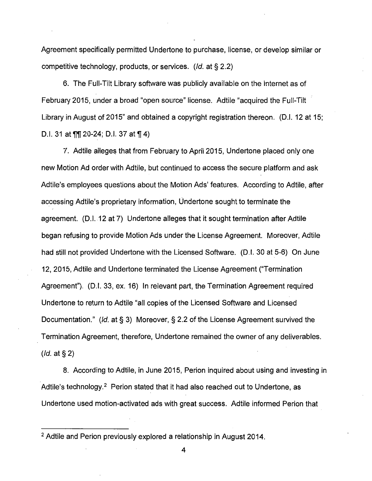Agreement specifically permitted Undertone to purchase, license, or develop similar or competitive technology, products, or services. (Id. at § 2.2)

6. The Full-Tilt Library software was publicly available on the Internet as of February 2015, under a broad "open source" license. Adtile "acquired the Full-Tilt Library in August of 2015" and obtained a copyright registration thereon. (D.I. 12 at 15; D.I. 31 at  $\P$  $\P$  20-24; D.I. 37 at  $\P$  4)

7. Adtile alleges that from February to April 2015, Undertone placed only one new Motion Ad order with Adtile, but continued to access the secure platform and ask Adtile's employees questions about the Motion Ads' features. According to Adtile, after accessing Adtile's proprietary information, Undertone sought to terminate the agreement. (D.1..12 at 7) Undertone alleges that it sought termination after Adtile began refusing to provide Motion Ads under the License Agreement. Moreover, Adtile had still not provided Undertone with the Licensed Software. (D.I. 30 at 5-6) On June 12, 2015, Adtile and Undertone terminated the License Agreement ("Termination Agreement"). (D.I. 33, ex. 16) In relevant part, the Termination Agreement required Undertone to return to Adtile "all copies of the Licensed Software and Licensed Documentation." (Id. at§ 3) Moreover, § 2.2 of the License Agreement survived the Termination Agreement, therefore, Undertone remained the owner of any deliverables.  $(Id.$  at § 2)

8. According to Adtile, in June 2015, Perion inquired about using and investing in Adtile's technology.<sup>2</sup> Perion stated that it had also reached out to Undertone, as Undertone used motion-activated ads with great success. Adtile informed Perion that

<sup>&</sup>lt;sup>2</sup> Adtile and Perion previously explored a relationship in August 2014.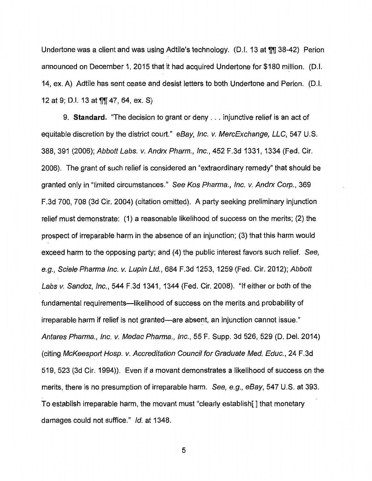Undertone was a client and was using Adtile's technology. (D.I. 13 at  $\frac{1}{11}$  38-42) Perion announced on December 1, 2015 that it had acquired Undertone for \$180 million. (D.I. 14, ex. A) Adtile has sent cease and desist letters to both Undertone and Perion. (D.I. 12 at 9; D.I. 13 at  $\P$ [| 47, 64, ex. S)

9. **Standard.** "The decision to grant or deny ... injunctive relief is an act of equitable discretion by the district court." eBay, Inc. v. MercExchange, LLC, 547 U.S. 388, 391 (2006); Abbott Labs. v. Andrx Pharm., Inc., 452F.3d1331, 1334 (Fed. Cir. 2006). The grant of such relief is considered an "extraordinary remedy" that should be granted only in "limited circumstances." See Kos Pharma., Inc. v. Andrx Corp., 369 F.3d 700, 708 (3d Cir. 2004) (citation omitted). A party seeking preliminary injunction relief must demonstrate: (1) a reasonable likelihood of success on the merits; (2) the prospect of irreparable harm in the absence of an injunction; (3) that this harm would exceed harm to the opposing party; and (4) the public interest favors such relief. See, e.g., Sciele Pharma Inc. v. Lupin Ltd., 684 F.3d 1253, 1259 (Fed. Cir. 2012); Abbott Labs v. Sandoz, Inc., 544 F.3d 1341, 1344 (Fed. Cir. 2008). "If either or both of the fundamental requirements—likelihood of success on the merits and probability of irreparable harm if relief is not granted-are absent, an injunction cannot issue." Antares Pharma., Inc. v. Medac Pharma., Inc., 55 F. Supp. 3d 526, 529 (D. Del. 2014) (citing McKeesport Hosp. v. Accreditation Council for Graduate Med. Educ., 24 F.3d 519, 523 (3d Cir. 1994)). Even if a movant demonstrates a likelihood of success on the merits, there is no presumption of irreparable harm. See, e.g., eBay, 547 U.S. at 393. To establish irreparable harm, the movant must "clearly establish[] that monetary damages could not suffice." Id. at 1348.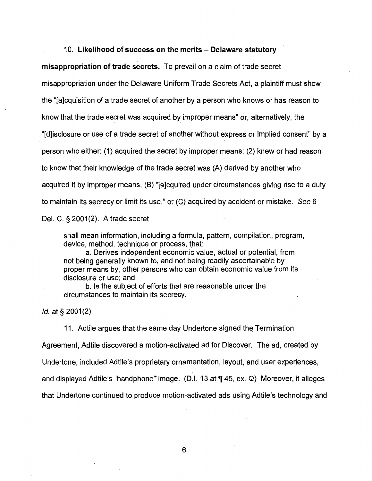## 10. **Likelihood of success on the merits - Delaware statutory**

**misappropriation of trade secrets.** To prevail on a claim of trade secret misappropriation under the Delaware Uniform Trade Secrets Act, a plaintiff must show the "[a]cquisition of a trade secret of another by a person who knows or has reason to know that the trade secret was acquired by improper means" or, alternatively, the "[d]isclosure or use of a trade secret of another without express or implied consent" by a person who either: (1) acquired the secret by improper means; (2) knew or had reason to know that their knowledge of the trade secret was (A) derived by another who acquired it by improper means, (B) "[a]cquired under circumstances giving rise to a duty to maintain its secrecy or limit its use," or (C) acquired by accident or mistake. See 6

Del. C. § 2001(2). A trade secret

shall mean information, including a formula, pattern, compilation, program, device, method, technique or process, that:

a. Derives independent economic value, actual or potential, from not being generally known to, and not being readily ascertainable by proper means by, other persons who can obtain economic value from its disclosure or use; and

b. Is the subject of efforts that are reasonable under the circumstances to maintain its secrecy.

 $Id.$  at § 2001 $(2).$ 

11. Adtile argues that the same day Undertone signed the Termination Agreement, Adtile discovered a motion-activated ad for Discover. The ad, created by Undertone, included Adtile's proprietary ornamentation, layout, and user experiences, and displayed Adtile's "handphone" image. (D.I. 13 at  $\P$  45, ex. Q) Moreover, it alleges that Undertone continued to produce motion-activated ads using Adtile's technology and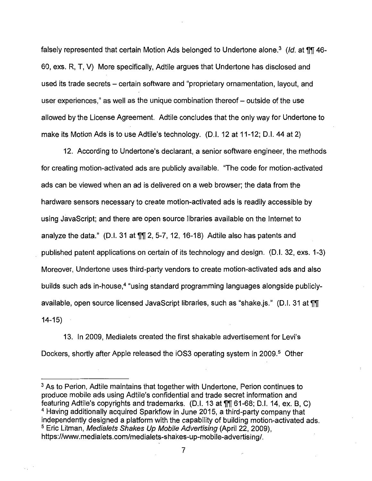falsely represented that certain Motion Ads belonged to Undertone alone.<sup>3</sup> (Id. at  $\mathbb{II}$  46-60, exs. R, T, V) More specifically, Adtile argues that Undertone has disclosed and used its trade secrets – certain software and "proprietary ornamentation, layout, and user experiences," as well as the unique combination thereof- outside of the use allowed by the License Agreement. Adtile concludes that the only way for Undertone to make its Motion Ads is to use Adtile's technology. (D.I. 12 at 11-12; D.I. 44 at 2)

12. According to Undertone's declarant, a senior software engineer, the methods for creating motion-activated ads are publicly available. "The code for motion-activated ads can be viewed when an ad is delivered on a web browser; the data from the hardware sensors necessary to create motion-activated ads is readily accessible by using JavaScript; and there are open source libraries available on the Internet to analyze the data." (D.I. 31 at  $\sqrt{m}$  2, 5-7, 12, 16-18) Adtile also has patents and published patent applications on certain of its technology and design. (D.I. 32, exs. 1-3) Moreover, Undertone uses third-party vendors to create motion-activated ads and also builds such ads in-house,<sup>4</sup> "using standard programming languages alongside publiclyavailable, open source licensed JavaScript libraries, such as "shake.js." (D.I. 31 at  $\P\P$  $14-15$ )

13. In 2009, Medialets created the first shakable advertisement for Levi's Dockers, shortly after Apple released the iOS3 operating system in 2009.<sup>5</sup> Other

<sup>&</sup>lt;sup>3</sup> As to Perion, Adtile maintains that together with Undertone, Perion continues to produce mobile ads using Adtile's confidential and trade secret information and featuring Adtile's copyrights and trademarks. (D.I. 13 at  $\P\P$  61-68; D.I. 14, ex. B, C) <sup>4</sup>Having additionally acquired Sparkflow in June 2015, a third-party company that independently designed a platform with the capability of building motion-activated ads. <sup>5</sup> Eric Litman, Medialets Shakes Up Mobile Advertising (April 22, 2009), https://www.medialets.com/medialets-shakes-up-mobile-advertising/.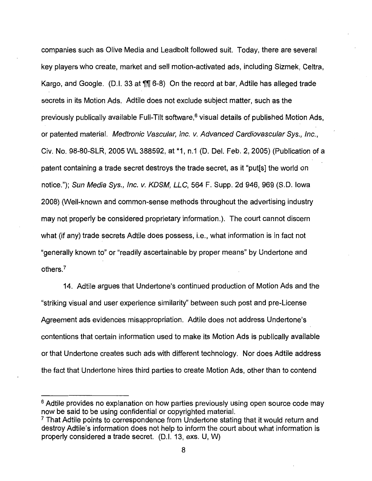companies such as Olive Media and Leadbolt followed suit. Today, there are several key players who create, market and sell motion-activated ads, including Sizmek, Celtra, Kargo, and Google. (D.I. 33 at  $\sqrt{m}$  6-8) On the record at bar, Adtile has alleged trade secrets in its Motion Ads. Adtile does not exclude subject matter, such as the previously publically available Full-Tilt software, $<sup>6</sup>$  visual details of published Motion Ads,</sup> or patented material. Medtronic Vascular, Inc. v. Advanced Cardiovascular Sys., Inc., Civ. No. 98-80-SLR, 2005 WL 388592, at \*1, n.1 (D. Del. Feb. 2, 2005) (Publication of a patent containing a trade secret destroys the trade secret, as it "put[s] the world on notice."); Sun Media Sys., Inc. v. KDSM, LLC, 564 F. Supp. 2d 946, 969 (S.D. Iowa 2008) (Well-known and common-sense methods throughout the advertising industry may not properly be considered proprietary information.). The court cannot discern what (if any) trade secrets Adtile does possess, i.e., what information is in fact not "generally known to" or "readily ascertainable by proper means" by Undertone and others.<sup>7</sup>

14. Adtile argues that Undertone's continued production of Motion Ads and the "striking visual and user experience similarity" between such post and pre-License Agreement ads evidences misappropriation. Adtile does not address Undertone's contentions that certain information used to make its Motion Ads is publically available or that Undertone creates such ads with different technology. Nor does Adtile address the fact that Undertone hires third parties to create Motion Ads, other than to contend

<sup>&</sup>lt;sup>6</sup> Adtile provides no explanation on how parties previously using open source code may now be said to be using confidential or copyrighted material.

 $<sup>7</sup>$  That Adtile points to correspondence from Undertone stating that it would return and</sup> destroy Adtile's information does not help to inform the court about what information is properly considered a trade secret. (D.I. 13, exs. U, W)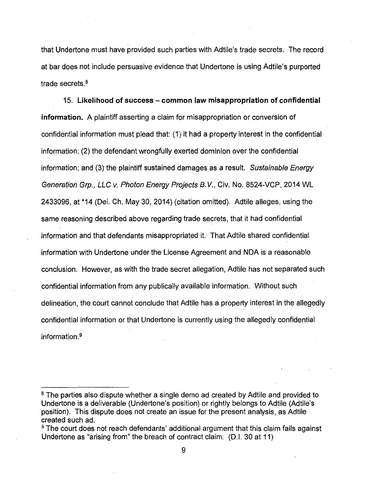that Undertone must have provided such parties with Adtile's trade secrets. The record at bar does not include persuasive evidence that Undertone is using Adtile's purported trade secrets. <sup>8</sup>

15. **Likelihood of success - common law misappropriation of confidential information.** A plaintiff asserting a claim for misappropriation or conversion of confidential information must plead that: (1) it had a property interest in the confidential information; (2) the defendant wrongfully exerted dominion over the confidential information; and (3) the plaintiff sustained damages as a result. Sustainable Energy Generation Grp., LLC v. Photon Energy Projects B. V., Civ. No. 8524-VCP, 2014 WL 2433096, at \*14 (Del. Ch. May 30, 2014) (citation omitted). Adtile alleges, using the same reasoning described above regarding trade secrets, that it had confidential information and that defendants misappropriated it. That Adtile shared confidential information with Undertone under the License Agreement and NOA is a reasonable conclusion. However, as with the trade secret allegation, Adtile has not separated such confidential information from any publically available information. Without such delineation, the court cannot conclude that Adtile has a property interest in the allegedly confidential information or that Undertone is currently using the allegedly confidential information.<sup>9</sup>

<sup>&</sup>lt;sup>8</sup> The parties also dispute whether a single demo ad created by Adtile and provided to Undertone is a deliverable (Undertone's position) or rightly belongs to Adtile (Adtile's position). This dispute does not create an issue for the present analysis, as Adtile created such ad.

<sup>&</sup>lt;sup>9</sup> The court does not reach defendants' additional argument that this claim fails against Undertone as "arising from" the breach of contract claim. (D.I. 30 at 11)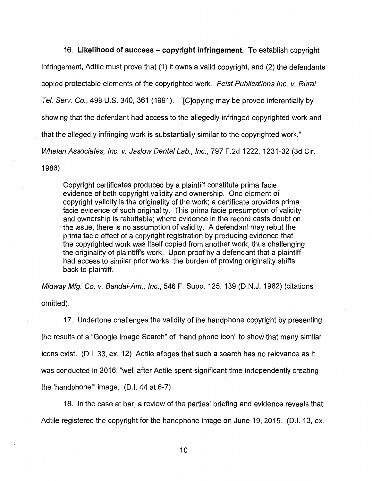16. Likelihood of success - copyright infringement. To establish copyright infringement, Adtile must prove that (1) it owns a valid copyright, and (2) the defendants copied protectable elements of the copyrighted work. Feist Publications Inc. v. Rural Tel. Serv. Co., 499 U.S. 340, 361 (1991). "[C]opying may be proved inferentially by showing that the defendant had access to the allegedly infringed copyrighted work and that the allegedly infringing work is substantially similar to the copyrighted work." Whelan Associates, Inc. v. Jaslow Dental Lab., Inc., 797 F.2d 1222, 1231-32 (3d Cir.

1986).

Copyright certificates produced by a plaintiff constitute prima facie evidence of both copyright validity and ownership. One element of copyright validity is the originality of the work; a certificate provides prima facie evidence of such originality. This prima facie presumption of validity and ownership is rebuttable; where evidence in the record casts doubt on the issue, there is no assumption of validity. A defendant may rebut the prima facie effect of a copyright registration by producing evidence that the copyrighted work was itself copied from another work, thus challenging the originality of plaintiff's work. Upon proof by a defendant that a plaintiff had access to similar prior works, the burden of proving originality shifts back to plaintiff.

Midway Mfg. Co. v. Bandai-Am., Inc., 546 F. Supp. 125, 139 (D.N.J. 1982) (citations omitted).

17. Undertone challenges the validity of the handphone copyright by presenting the results of a "Google Image Search" of "hand phone icon" to show that many similar icons exist. (D.I. 33, ex. 12) Adtile alleges that such a search has no relevance as it was conducted in 2016, "well after Adtile spent significant time independently creating the 'handphone"' image. (D.I. 44 at 6-7)

18. In the case at bar, a review of the parties' briefing and evidence reveals that Adtile registered the copyright for the handphone image on June 19, 2015. (D.I. 13, ex.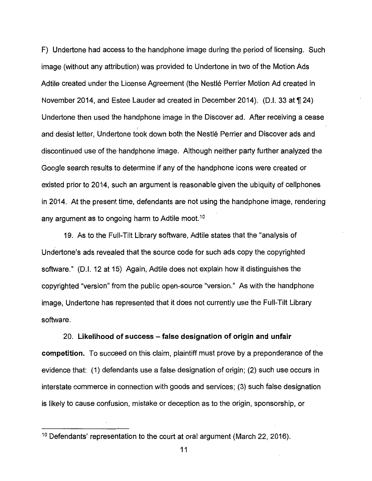F) Undertone had access to the handphone image during the period of licensing. Such image (without any attribution) was provided to Undertone in two of the Motion Ads Adtile created under the License Agreement (the Nestle Perrier Motion Ad created in November 2014, and Estee Lauder ad created in December 2014). (D.I. 33 at ¶ 24) Undertone then used the handphone image in the Discover ad. After receiving a cease I and desist letter, Undertone took down both the Nestlé Perrier and Discover ads and discontinued use of the handphone image. Although neither party further analyzed the Google search results to determine if any of the handphone icons were created or existed prior to 2014, such an argument is reasonable given the ubiquity of cellphones in 2014. At the present time, defendants are not using the handphone image, rendering any argument as to ongoing harm to Adtile moot.<sup>10</sup>

19. As to the Full-Tilt Library software, Adtile states that the "analysis of Undertone's ads revealed that the source code for such ads copy the copyrighted software." (D.I. 12 at 15) Again, Adtile does not explain how it distinguishes the copyrighted "version" from the public open-source "version." As with the handphone image, Undertone has represented that it does not currently use the Full-Tilt Library software.

20. **Likelihood of success - false designation of origin and unfair competition.** To succeed on this claim, plaintiff must prove by a preponderance of the evidence that: (1) defendants use a false designation of origin; (2) such use occurs in interstate commerce in connection with goods and services; (3) such false designation is likely to cause confusion, mistake or deception as to the origin, sponsorship, or

<sup>&</sup>lt;sup>10</sup> Defendants' representation to the court at oral argument (March 22, 2016).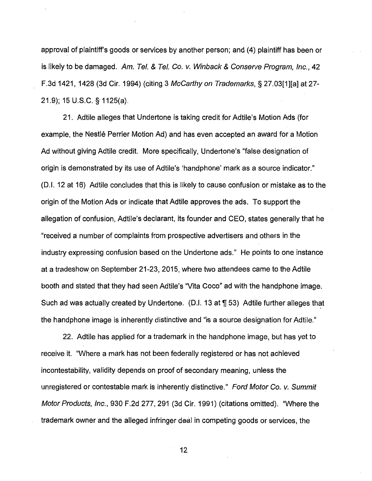approval of plaintiff's goods or services by another person; and (4) plaintiff has been or is likely to be damaged. Am. Tel. & Tel. Co. v. Winback & Conserve Program, Inc., 42 F.3d 1421, 1428 (3d Cir. 1994) (citing 3 McCarthy on Trademarks, § 27.03[1][a] at 27- 21.9); 15 U.S.C. §· 1125(a).

21. Adtile alleges that Undertone is taking credit for Adtile's Motion Ads (for example, the Nestlé Perrier Motion Ad) and has even accepted an award for a Motion Ad without giving Adtile credit. More specifically, Undertone's "false designation of origin is demonstrated by its use of Adtile's 'handphone' mark as a source indicator." (D.I. 12 at 16) Adtile concludes that this is likely to cause confusion or mistake as to the origin of the Motion Ads or indicate that Adtile approves the ads. To support the allegation of confusion, Adtile's declarant, its founder and CEO, states generally that he "received a number of complaints from prospective advertisers and others in the industry expressing confusion based on the Undertone ads." He points to one instance at a tradeshow on September 21-23, 2015, where two attendees came to the Adtile booth and stated that they had seen Adtile's "Vita Coco" ad with the handphone image. Such ad was actually created by Undertone. (D.I. 13 at  $\P$  53) Adtile further alleges that the handphone image is inherently distinctive and "is a source designation for Adtile."

22. Adtile has applied for a trademark in the handphone image, but has yet to receive it. "Where a mark has not been federally registered or has not achieved incontestability, validity depends on proof of secondary meaning, unless the unregistered or contestable mark is inherently distinctive." Ford Motor Co. v. Summit Motor Products, Inc., 930 F.2d 277, 291 (3d Cir. 1991) (citations omitted). "Where the trademark owner and the alleged infringer deal in competing goods or services, the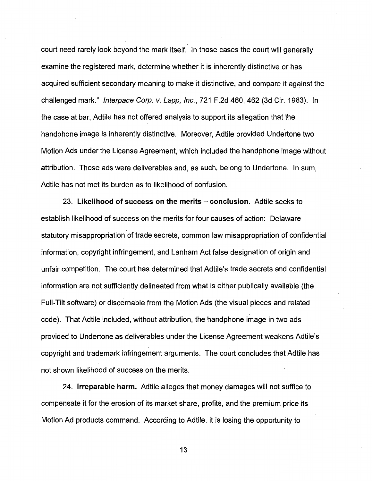court need rarely look beyond the mark itself. In those cases the court will generally examine the registered mark, determine whether it is inherently distinctive or has acquired sufficient secondary meaning to make it distinctive, and compare it against the challenged mark." Interpace Corp. v. Lapp, Inc., 721 F.2d 460, 462 (3d Cir. 1983). In the case at bar, Adtile has not offered analysis to support its allegation that the handphone image is inherently distinctive. Moreover, Adtile provided Undertone two Motion Ads under the License Agreement, which included the handphone image without attribution. Those ads were deliverables and, as such, belong to Undertone. In sum, Adtile has not met its burden as to likelihood of confusion.

23. **Likelihood of success on the merits - conclusion.** Adtile seeks to establish likelihood of success on the merits for four causes of action: Delaware statutory misappropriation of trade secrets, common law misappropriation of confidential information, copyright infringement, and Lanham Act false designation of origin and unfair competition. The court has determined that Adtile's trade secrets and confidential information are not sufficiently delineated from what is either publically available (the Full-Tilt software) or discernable from the Motion Ads (the visual pieces and related code). That Adtile included, without attribution, the handphone image in two ads provided to Undertone as deliverables under the License Agreement weakens Adtile's copyright and trademark infringement arguments. The court concludes that Adtile has not shown likelihood of success on the merits.

24. **Irreparable harm.** Adtile alleges that money damages will not suffice to compensate it for the erosion of its market share, profits, and the premium price its Motion Ad products command. According to Adtile, it is losing the opportunity to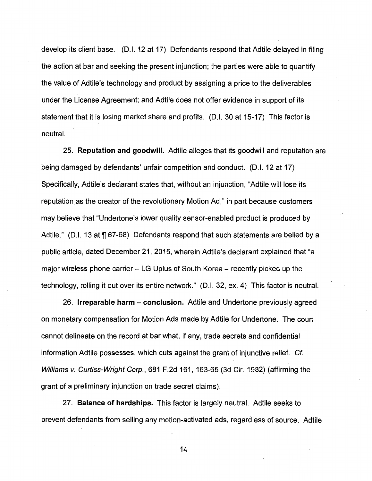develop its client base. (D.I. 12 at 17) Defendants respond that Adtile delayed in filing the action at bar and seeking the present injunction; the parties were able to quantify the value of Adtile's technology and product by assigning a price to the deliverables under the License Agreement; and Adtile does not offer evidence in support of its statement that it is losing market share and profits. (D.I. 30 at 15-17) This factor is neutral.

25. **Reputation and goodwill.** Adtile alleges that its goodwill and reputation are being damaged by defendants' unfair competition and conduct. (D.I. 12 at 17) Specifically, Adtile's declarant states that, without an injunction, "Adtile will lose its reputation as the creator of the revolutionary Motion Ad," in part because customers may believe that "Undertone's lower quality sensor-enabled product is produced by Adtile." (D.I. 13 at  $\P$  67-68) Defendants respond that such statements are belied by a public article, dated December 21, 2015, wherein Adtile's declarant explained that "a major wireless phone carrier  $-$  LG Uplus of South Korea  $-$  recently picked up the technology, rolling it out over its entire network." (D.I. 32, ex. 4) This factor is neutral.

26. **Irreparable harm - conclusion.** Adtile and Undertone previously agreed on monetary compensation for Motion Ads made by Adtile for Undertone. The court cannot delineate on the record at bar what, if any, trade secrets and confidential information Adtile possesses, which cuts against the grant of injunctive relief. Cf. Williams v. Curtiss-Wright Corp., 681 F.2d 161, 163-65 (3d Cir. 1982) (affirming the grant of a preliminary injunction on trade secret claims) .

. 27. **Balance of hardships.** This factor is largely neutral. Adtile seeks to prevent defendants from selling any motion-activated ads, regardless of source. Adtile